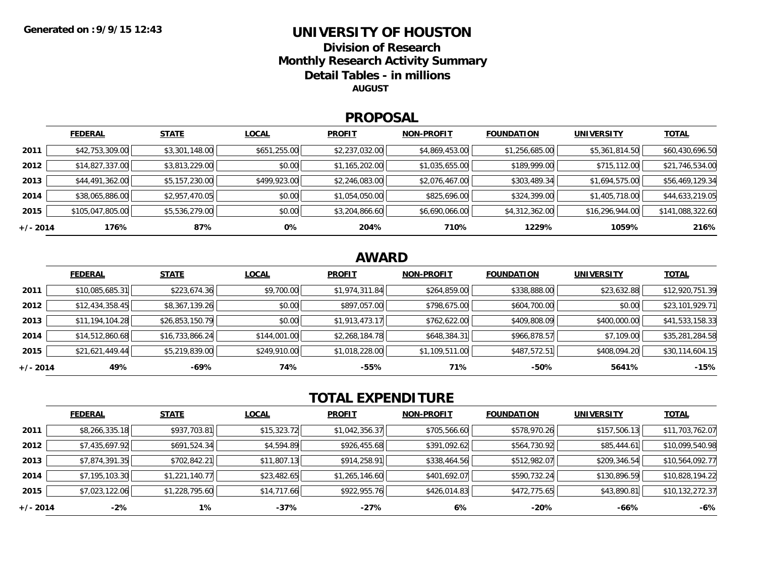### **UNIVERSITY OF HOUSTONDivision of Research**

**Monthly Research Activity Summary**

**Detail Tables - in millions**

**AUGUST**

#### **PROPOSAL**

|            | <b>FEDERAL</b>   | <b>STATE</b>   | <b>LOCAL</b> | <b>PROFIT</b>  | <b>NON-PROFIT</b> | <b>FOUNDATION</b> | <b>UNIVERSITY</b> | <b>TOTAL</b>     |
|------------|------------------|----------------|--------------|----------------|-------------------|-------------------|-------------------|------------------|
| 2011       | \$42,753,309.00  | \$3,301,148.00 | \$651,255.00 | \$2,237,032.00 | \$4,869,453.00    | \$1,256,685.00    | \$5,361,814.50    | \$60,430,696.50  |
| 2012       | \$14,827,337.00  | \$3,813,229.00 | \$0.00       | \$1,165,202.00 | \$1,035,655.00    | \$189,999.00      | \$715,112.00      | \$21,746,534.00  |
| 2013       | \$44,491,362.00  | \$5,157,230.00 | \$499,923.00 | \$2,246,083.00 | \$2,076,467.00    | \$303,489.34      | \$1,694,575.00    | \$56,469,129.34  |
| 2014       | \$38,065,886.00  | \$2,957,470.05 | \$0.00       | \$1,054,050.00 | \$825,696.00      | \$324,399.00      | \$1,405,718.00    | \$44,633,219.05  |
| 2015       | \$105,047,805.00 | \$5,536,279.00 | \$0.00       | \$3,204,866.60 | \$6,690,066.00    | \$4,312,362.00    | \$16,296,944.00   | \$141,088,322.60 |
| $+/- 2014$ | 176%             | 87%            | 0%           | 204%           | 710%              | 1229%             | 1059%             | 216%             |

## **AWARD**

|            | <b>FEDERAL</b>  | <b>STATE</b>    | <b>LOCAL</b> | <b>PROFIT</b>  | <b>NON-PROFIT</b> | <b>FOUNDATION</b> | <b>UNIVERSITY</b> | <b>TOTAL</b>    |
|------------|-----------------|-----------------|--------------|----------------|-------------------|-------------------|-------------------|-----------------|
| 2011       | \$10,085,685.31 | \$223,674.36    | \$9,700.00   | \$1,974,311.84 | \$264,859.00      | \$338,888.00      | \$23,632.88       | \$12,920,751.39 |
| 2012       | \$12,434,358.45 | \$8,367,139.26  | \$0.00       | \$897,057.00   | \$798,675.00      | \$604,700.00      | \$0.00            | \$23,101,929.71 |
| 2013       | \$11,194,104.28 | \$26,853,150.79 | \$0.00       | \$1,913,473.17 | \$762,622.00      | \$409,808.09      | \$400,000.00      | \$41,533,158.33 |
| 2014       | \$14,512,860.68 | \$16,733,866.24 | \$144,001.00 | \$2,268,184.78 | \$648,384.31      | \$966,878.57      | \$7,109.00        | \$35,281,284.58 |
| 2015       | \$21,621,449.44 | \$5,219,839.00  | \$249,910.00 | \$1,018,228.00 | \$1,109,511.00    | \$487,572.51      | \$408,094.20      | \$30,114,604.15 |
| $+/- 2014$ | 49%             | -69%            | 74%          | $-55%$         | 71%               | $-50%$            | 5641%             | $-15%$          |

# **TOTAL EXPENDITURE**

|          | <b>FEDERAL</b> | <b>STATE</b>   | <b>LOCAL</b> | <b>PROFIT</b>  | <b>NON-PROFIT</b> | <b>FOUNDATION</b> | <b>UNIVERSITY</b> | <b>TOTAL</b>    |
|----------|----------------|----------------|--------------|----------------|-------------------|-------------------|-------------------|-----------------|
| 2011     | \$8,266,335.18 | \$937,703.81   | \$15,323.72  | \$1,042,356.37 | \$705,566.60      | \$578,970.26      | \$157,506.13      | \$11,703,762.07 |
| 2012     | \$7,435,697.92 | \$691,524.34   | \$4,594.89   | \$926,455.68   | \$391,092.62      | \$564,730.92      | \$85,444.61       | \$10,099,540.98 |
| 2013     | \$7,874,391.35 | \$702,842.21   | \$11,807.13  | \$914,258.91   | \$338,464.56      | \$512,982.07      | \$209,346.54      | \$10,564,092.77 |
| 2014     | \$7,195,103.30 | \$1,221,140.77 | \$23,482.65  | \$1,265,146.60 | \$401,692.07      | \$590,732.24      | \$130,896.59      | \$10,828,194.22 |
| 2015     | \$7,023,122.06 | \$1,228,795.60 | \$14,717.66  | \$922,955.76   | \$426,014.83      | \$472,775.65      | \$43,890.81       | \$10,132,272.37 |
| +/- 2014 | $-2%$          | 1%             | -37%         | -27%           | 6%                | $-20%$            | -66%              | -6%             |